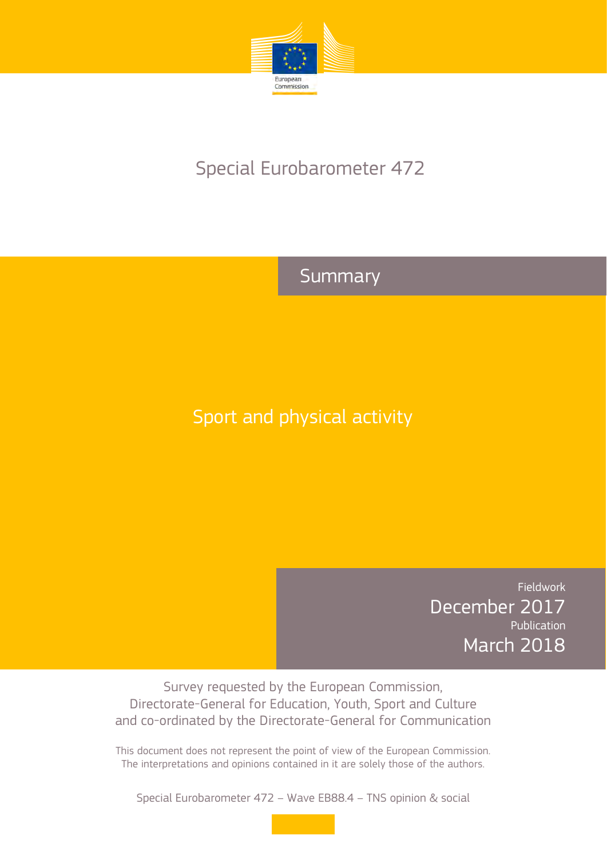

# Special Eurobarometer 472

# Summary

# Sport and physical activity

Fieldwork December 2017 Publication March 2018

Survey requested by the European Commission, Directorate-General for Education, Youth, Sport and Culture and co-ordinated by the Directorate-General for Communication

This document does not represent the point of view of the European Commission. The interpretations and opinions contained in it are solely those of the authors.

Special Eurobarometer 472 – Wave EB88.4 – TNS opinion & social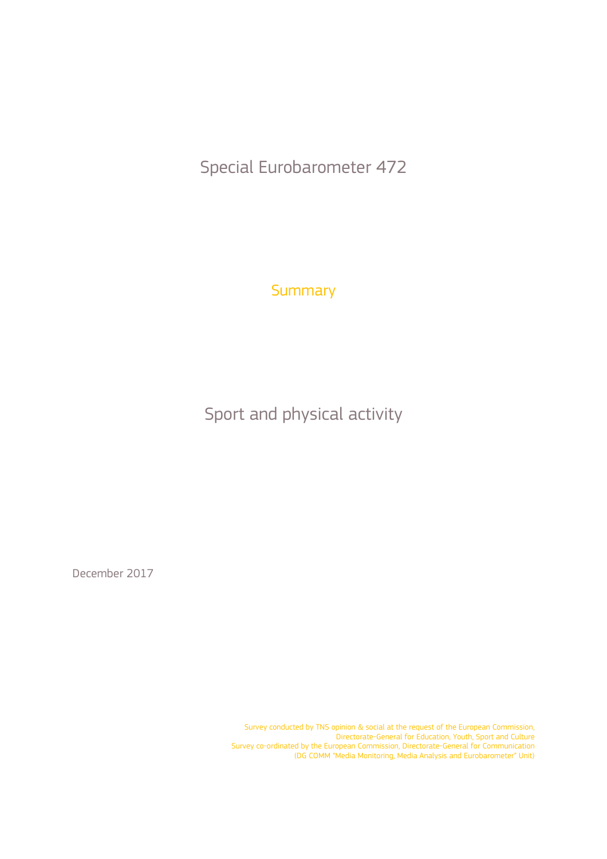Special Eurobarometer 472

**Summary** 

Sport and physical activity

December 2017

Survey conducted by TNS opinion & social at the request of the European Commission, Directorate-General for Education, Youth, Sport and Culture Survey co-ordinated by the European Commission, Directorate-General for Communication (DG COMM "Media Monitoring, Media Analysis and Eurobarometer" Unit)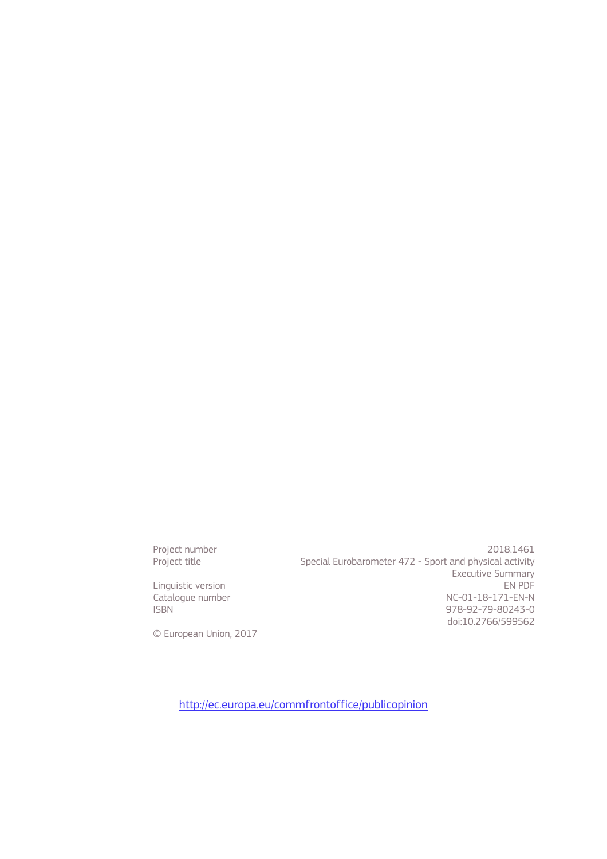Linguistic version<br>Cataloque number

Project number<br>Project title 2018.1461<br>Special Eurobarometer 472 - Sport and physical activity Special Eurobarometer 472 - Sport and physical activity Executive Summary<br>EN PDF Catalogue number<br>
ISBN 978-92-79-80243-0 978-92-79-80243-0 doi:10.2766/599562

© European Union, 2017

http://ec.europa.eu/commfrontoffice/publicopinion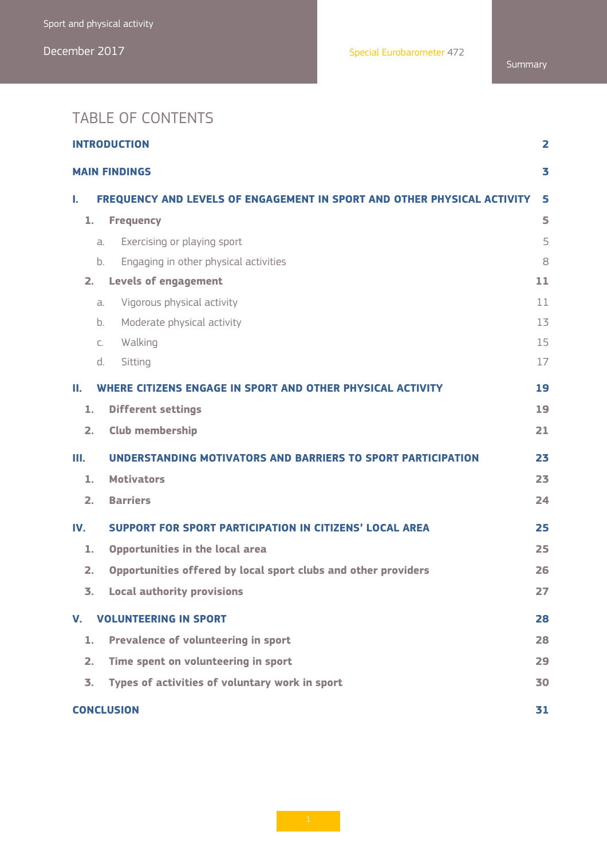# TABLE OF CONTENTS

| <b>INTRODUCTION</b><br>2  |                                                                         |    |  |  |  |
|---------------------------|-------------------------------------------------------------------------|----|--|--|--|
| 3<br><b>MAIN FINDINGS</b> |                                                                         |    |  |  |  |
| L.                        | FREQUENCY AND LEVELS OF ENGAGEMENT IN SPORT AND OTHER PHYSICAL ACTIVITY | 5  |  |  |  |
| 1.                        | <b>Frequency</b>                                                        | 5  |  |  |  |
|                           | Exercising or playing sport<br>a.                                       | 5  |  |  |  |
|                           | Engaging in other physical activities<br>b.                             | 8  |  |  |  |
| 2.                        | <b>Levels of engagement</b>                                             | 11 |  |  |  |
|                           | Vigorous physical activity<br>a.                                        | 11 |  |  |  |
|                           | Moderate physical activity<br>b.                                        | 13 |  |  |  |
|                           | Walking<br>$C_{1}$                                                      | 15 |  |  |  |
|                           | Sitting<br>d.                                                           | 17 |  |  |  |
| П.                        | WHERE CITIZENS ENGAGE IN SPORT AND OTHER PHYSICAL ACTIVITY              | 19 |  |  |  |
| 1.                        | <b>Different settings</b>                                               | 19 |  |  |  |
| 2.                        | <b>Club membership</b>                                                  | 21 |  |  |  |
| Ш.                        | UNDERSTANDING MOTIVATORS AND BARRIERS TO SPORT PARTICIPATION            | 23 |  |  |  |
| 1.                        | <b>Motivators</b>                                                       | 23 |  |  |  |
| 2.                        | <b>Barriers</b>                                                         | 24 |  |  |  |
| IV.                       | <b>SUPPORT FOR SPORT PARTICIPATION IN CITIZENS' LOCAL AREA</b>          | 25 |  |  |  |
| 1.                        | Opportunities in the local area                                         | 25 |  |  |  |
| 2.                        | Opportunities offered by local sport clubs and other providers          | 26 |  |  |  |
| 3.                        | <b>Local authority provisions</b>                                       | 27 |  |  |  |
| V.                        | <b>VOLUNTEERING IN SPORT</b>                                            | 28 |  |  |  |
| 1.                        | Prevalence of volunteering in sport                                     | 28 |  |  |  |
| 2.                        | Time spent on volunteering in sport                                     | 29 |  |  |  |
| 3.                        | Types of activities of voluntary work in sport                          | 30 |  |  |  |
|                           | <b>CONCLUSION</b>                                                       | 31 |  |  |  |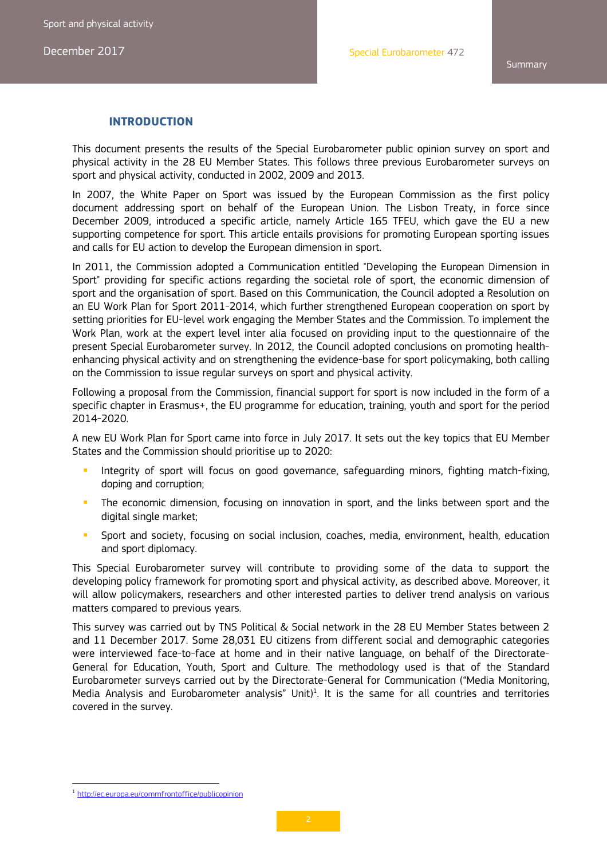**Summary** 

#### **INTRODUCTION**

This document presents the results of the Special Eurobarometer public opinion survey on sport and physical activity in the 28 EU Member States. This follows three previous Eurobarometer surveys on sport and physical activity, conducted in 2002, 2009 and 2013.

In 2007, the White Paper on Sport was issued by the European Commission as the first policy document addressing sport on behalf of the European Union. The Lisbon Treaty, in force since December 2009, introduced a specific article, namely Article 165 TFEU, which gave the EU a new supporting competence for sport. This article entails provisions for promoting European sporting issues and calls for EU action to develop the European dimension in sport.

In 2011, the Commission adopted a Communication entitled "Developing the European Dimension in Sport" providing for specific actions regarding the societal role of sport, the economic dimension of sport and the organisation of sport. Based on this Communication, the Council adopted a Resolution on an EU Work Plan for Sport 2011-2014, which further strengthened European cooperation on sport by setting priorities for EU-level work engaging the Member States and the Commission. To implement the Work Plan, work at the expert level inter alia focused on providing input to the questionnaire of the present Special Eurobarometer survey. In 2012, the Council adopted conclusions on promoting healthenhancing physical activity and on strengthening the evidence-base for sport policymaking, both calling on the Commission to issue regular surveys on sport and physical activity.

Following a proposal from the Commission, financial support for sport is now included in the form of a specific chapter in Erasmus+, the EU programme for education, training, youth and sport for the period 2014-2020.

A new EU Work Plan for Sport came into force in July 2017. It sets out the key topics that EU Member States and the Commission should prioritise up to 2020:

- Integrity of sport will focus on good governance, safeguarding minors, fighting match-fixing, doping and corruption;
- **The economic dimension, focusing on innovation in sport, and the links between sport and the** digital single market;
- Sport and society, focusing on social inclusion, coaches, media, environment, health, education and sport diplomacy.

This Special Eurobarometer survey will contribute to providing some of the data to support the developing policy framework for promoting sport and physical activity, as described above. Moreover, it will allow policymakers, researchers and other interested parties to deliver trend analysis on various matters compared to previous years.

This survey was carried out by TNS Political & Social network in the 28 EU Member States between 2 and 11 December 2017. Some 28,031 EU citizens from different social and demographic categories were interviewed face-to-face at home and in their native language, on behalf of the Directorate-General for Education, Youth, Sport and Culture. The methodology used is that of the Standard Eurobarometer surveys carried out by the Directorate-General for Communication ("Media Monitoring, Media Analysis and Eurobarometer analysis" Unit)<sup>1</sup>. It is the same for all countries and territories covered in the survey.

 

<sup>&</sup>lt;sup>1</sup> http://ec.europa.eu/commfrontoffice/publicopinion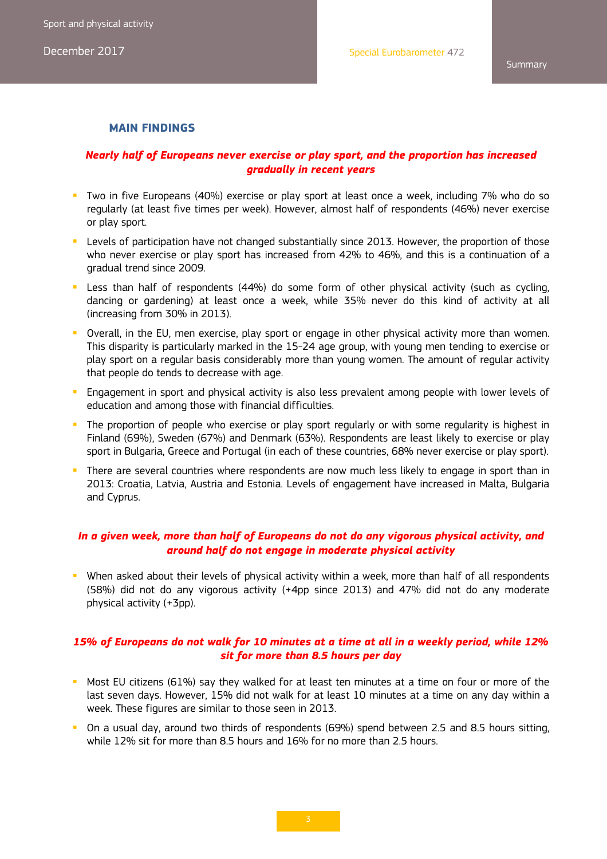#### **MAIN FINDINGS**

#### *Nearly half of Europeans never exercise or play sport, and the proportion has increased gradually in recent years*

- Two in five Europeans (40%) exercise or play sport at least once a week, including 7% who do so regularly (at least five times per week). However, almost half of respondents (46%) never exercise or play sport.
- **Levels of participation have not changed substantially since 2013. However, the proportion of those** who never exercise or play sport has increased from 42% to 46%, and this is a continuation of a gradual trend since 2009.
- Less than half of respondents (44%) do some form of other physical activity (such as cycling, dancing or gardening) at least once a week, while 35% never do this kind of activity at all (increasing from 30% in 2013).
- **D** Overall, in the EU, men exercise, play sport or engage in other physical activity more than women. This disparity is particularly marked in the 15-24 age group, with young men tending to exercise or play sport on a regular basis considerably more than young women. The amount of regular activity that people do tends to decrease with age.
- Engagement in sport and physical activity is also less prevalent among people with lower levels of education and among those with financial difficulties.
- The proportion of people who exercise or play sport regularly or with some regularity is highest in Finland (69%), Sweden (67%) and Denmark (63%). Respondents are least likely to exercise or play sport in Bulgaria, Greece and Portugal (in each of these countries, 68% never exercise or play sport).
- **There are several countries where respondents are now much less likely to engage in sport than in** 2013: Croatia, Latvia, Austria and Estonia. Levels of engagement have increased in Malta, Bulgaria and Cyprus.

#### *In a given week, more than half of Europeans do not do any vigorous physical activity, and around half do not engage in moderate physical activity*

 When asked about their levels of physical activity within a week, more than half of all respondents (58%) did not do any vigorous activity (+4pp since 2013) and 47% did not do any moderate physical activity (+3pp).

### *15% of Europeans do not walk for 10 minutes at a time at all in a weekly period, while 12% sit for more than 8.5 hours per day*

- **Most EU citizens (61%) say they walked for at least ten minutes at a time on four or more of the** last seven days. However, 15% did not walk for at least 10 minutes at a time on any day within a week. These figures are similar to those seen in 2013.
- **Demographs** On a usual day, around two thirds of respondents (69%) spend between 2.5 and 8.5 hours sitting, while 12% sit for more than 8.5 hours and 16% for no more than 2.5 hours.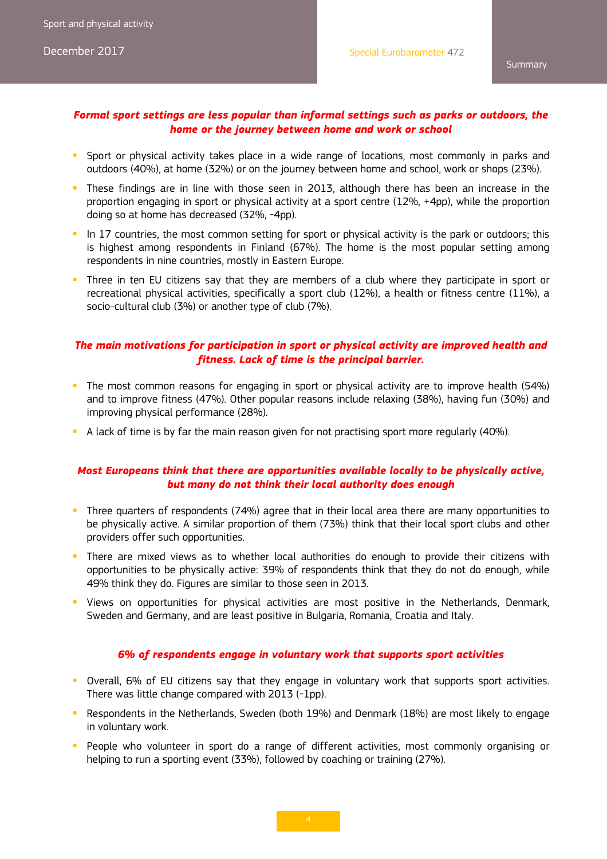#### *Formal sport settings are less popular than informal settings such as parks or outdoors, the home or the journey between home and work or school*

- **Sport or physical activity takes place in a wide range of locations, most commonly in parks and** outdoors (40%), at home (32%) or on the journey between home and school, work or shops (23%).
- **These findings are in line with those seen in 2013, although there has been an increase in the** proportion engaging in sport or physical activity at a sport centre (12%, +4pp), while the proportion doing so at home has decreased (32%, -4pp).
- In 17 countries, the most common setting for sport or physical activity is the park or outdoors; this is highest among respondents in Finland (67%). The home is the most popular setting among respondents in nine countries, mostly in Eastern Europe.
- **Three in ten EU citizens say that they are members of a club where they participate in sport or** recreational physical activities, specifically a sport club (12%), a health or fitness centre (11%), a socio-cultural club (3%) or another type of club (7%).

#### *The main motivations for participation in sport or physical activity are improved health and fitness. Lack of time is the principal barrier.*

- The most common reasons for engaging in sport or physical activity are to improve health (54%) and to improve fitness (47%). Other popular reasons include relaxing (38%), having fun (30%) and improving physical performance (28%).
- A lack of time is by far the main reason given for not practising sport more regularly (40%).

#### *Most Europeans think that there are opportunities available locally to be physically active, but many do not think their local authority does enough*

- Three quarters of respondents (74%) agree that in their local area there are many opportunities to be physically active. A similar proportion of them (73%) think that their local sport clubs and other providers offer such opportunities.
- **There are mixed views as to whether local authorities do enough to provide their citizens with** opportunities to be physically active: 39% of respondents think that they do not do enough, while 49% think they do. Figures are similar to those seen in 2013.
- Views on opportunities for physical activities are most positive in the Netherlands, Denmark, Sweden and Germany, and are least positive in Bulgaria, Romania, Croatia and Italy.

#### *6% of respondents engage in voluntary work that supports sport activities*

- **D** Overall, 6% of EU citizens say that they engage in voluntary work that supports sport activities. There was little change compared with 2013 (-1pp).
- Respondents in the Netherlands, Sweden (both 19%) and Denmark (18%) are most likely to engage in voluntary work.
- **People who volunteer in sport do a range of different activities, most commonly organising or** helping to run a sporting event (33%), followed by coaching or training (27%).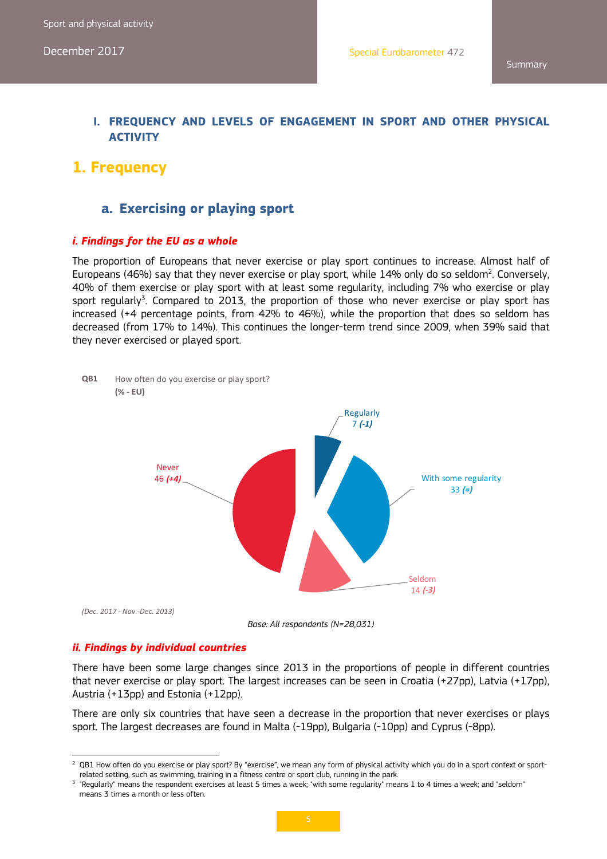### **I. FREQUENCY AND LEVELS OF ENGAGEMENT IN SPORT AND OTHER PHYSICAL ACTIVITY**

### **1. Frequency**

### **a. Exercising or playing sport**

#### *i. Findings for the EU as a whole*

The proportion of Europeans that never exercise or play sport continues to increase. Almost half of Europeans (46%) say that they never exercise or play sport, while  $14\%$  only do so seldom<sup>2</sup>. Conversely, 40% of them exercise or play sport with at least some regularity, including 7% who exercise or play sport regularly<sup>3</sup>. Compared to 2013, the proportion of those who never exercise or play sport has increased (+4 percentage points, from 42% to 46%), while the proportion that does so seldom has decreased (from 17% to 14%). This continues the longer-term trend since 2009, when 39% said that they never exercised or played sport.



#### *ii. Findings by individual countries*

There have been some large changes since 2013 in the proportions of people in different countries that never exercise or play sport. The largest increases can be seen in Croatia (+27pp), Latvia (+17pp), Austria (+13pp) and Estonia (+12pp).

There are only six countries that have seen a decrease in the proportion that never exercises or plays sport. The largest decreases are found in Malta (-19pp), Bulgaria (-10pp) and Cyprus (-8pp).

 2 QB1 How often do you exercise or play sport? By "exercise", we mean any form of physical activity which you do in a sport context or sportrelated setting, such as swimming, training in a fitness centre or sport club, running in the park.

<sup>&</sup>lt;sup>3</sup> "Regularly" means the respondent exercises at least 5 times a week; "with some regularity" means 1 to 4 times a week; and "seldom" means 3 times a month or less often.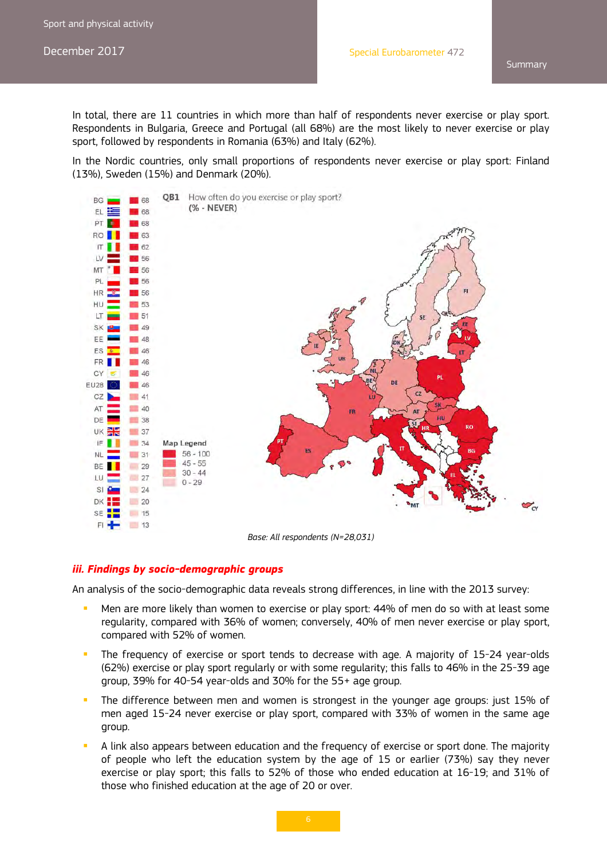In total, there are 11 countries in which more than half of respondents never exercise or play sport. Respondents in Bulgaria, Greece and Portugal (all 68%) are the most likely to never exercise or play sport, followed by respondents in Romania (63%) and Italy (62%).

In the Nordic countries, only small proportions of respondents never exercise or play sport: Finland (13%), Sweden (15%) and Denmark (20%).



*Base: All respondents (N=28,031)* 

#### *iii. Findings by socio-demographic groups*

An analysis of the socio-demographic data reveals strong differences, in line with the 2013 survey:

- Men are more likely than women to exercise or play sport: 44% of men do so with at least some regularity, compared with 36% of women; conversely, 40% of men never exercise or play sport, compared with 52% of women.
- The frequency of exercise or sport tends to decrease with age. A majority of 15-24 year-olds (62%) exercise or play sport regularly or with some regularity; this falls to 46% in the 25-39 age group, 39% for 40-54 year-olds and 30% for the 55+ age group.
- The difference between men and women is strongest in the younger age groups: just 15% of men aged 15-24 never exercise or play sport, compared with 33% of women in the same age group.
- A link also appears between education and the frequency of exercise or sport done. The majority of people who left the education system by the age of 15 or earlier (73%) say they never exercise or play sport; this falls to 52% of those who ended education at 16-19; and 31% of those who finished education at the age of 20 or over.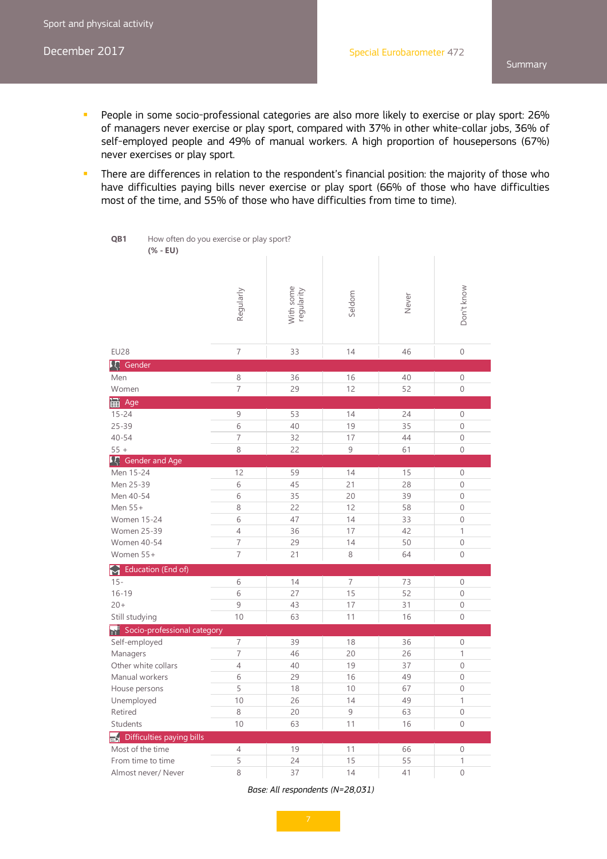**QB1**

How often do you exercise or play sport?

- People in some socio-professional categories are also more likely to exercise or play sport: 26% of managers never exercise or play sport, compared with 37% in other white-collar jobs, 36% of self-employed people and 49% of manual workers. A high proportion of housepersons (67%) never exercises or play sport.
- **There are differences in relation to the respondent's financial position: the majority of those who** have difficulties paying bills never exercise or play sport (66% of those who have difficulties most of the time, and 55% of those who have difficulties from time to time).

*Base: All respondents (N=28,031)* 

**<sup>(% -</sup> EU)** With some<br>regularity With some von't know Don't know Regularly Seldom Never EU28 7 33 14 46 0 只 Gender Men 8 36 16 40 0 Women 7 29 12 52 0 H<sub>i</sub> Age 15-24 9 53 14 24 0 25-39 6 40 19 35 0 40-54 7 32 17 44 0 55 + 8 22 9 61 0 **「八** Gender and Age Men 15-24 12 13 9 14 15 0 Men 25-39 6 45 21 28 0 Men 40-54 6 35 20 39 0 Men 55+ 8 22 12 58 0 Women 15-24 6 6 47 14 33 0 Women 25-39 4 36 17 42 1 Women 40-54 7 7 29 14 50 0 Women 55+ 7 21 8 64 0 Education (End of) 15- 6 14 7 73 0 16-19 6 27 15 52 0 20+ 9 43 17 31 0 Still studying 10 10 53 11 16 0 Socio-professional category Self-employed 7 7 39 18 36 0 Managers 7 46 20 26 1 Other white collars **4** 40 19 37 0 Manual workers 6 1 29 16 49 0 House persons 5 18 18 10 67 0 Unemployed 10 | 26 | 14 | 49 | 1 Retired 8 20 9 63 0 Students 10 63 11 16 0  $\overline{\mathbb{R}}$  Difficulties paying bills Most of the time  $\begin{array}{ccc} 4 & 19 & 11 & 66 \end{array}$  0 From time to time  $\begin{array}{ccc} 5 & 24 & 15 & 55 & 1 \end{array}$ Almost never/ Never 8 37 14 41 0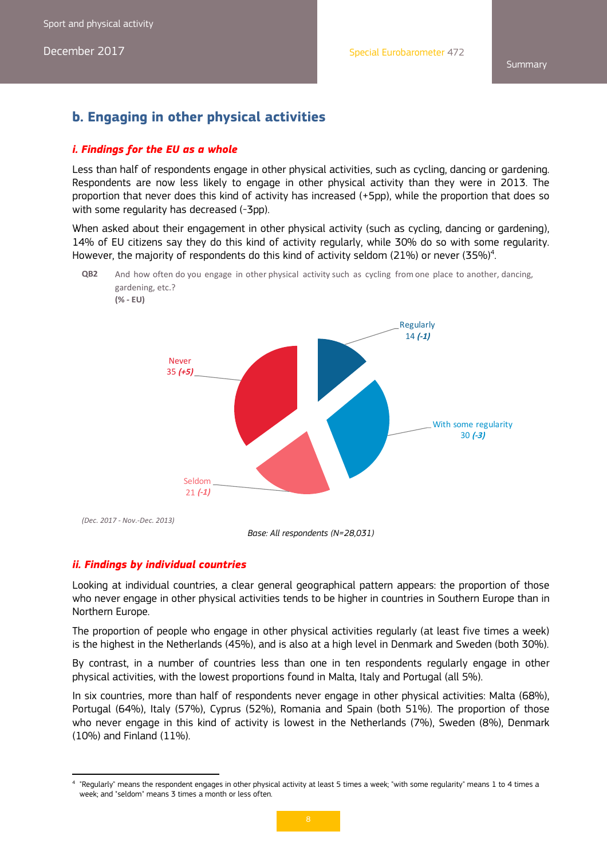# **b. Engaging in other physical activities**

#### *i. Findings for the EU as a whole*

Less than half of respondents engage in other physical activities, such as cycling, dancing or gardening. Respondents are now less likely to engage in other physical activity than they were in 2013. The proportion that never does this kind of activity has increased (+5pp), while the proportion that does so with some regularity has decreased (-3pp).

When asked about their engagement in other physical activity (such as cycling, dancing or gardening), 14% of EU citizens say they do this kind of activity regularly, while 30% do so with some regularity. However, the majority of respondents do this kind of activity seldom (21%) or never (35%)<sup>4</sup>.

**QB2** And how often do you engage in other physical activity such as cycling fromone place to another, dancing,



*(Dec. 2017 ‐ Nov.‐Dec. 2013)*

*Base: All respondents (N=28,031)* 

#### *ii. Findings by individual countries*

 

Looking at individual countries, a clear general geographical pattern appears: the proportion of those who never engage in other physical activities tends to be higher in countries in Southern Europe than in Northern Europe.

The proportion of people who engage in other physical activities regularly (at least five times a week) is the highest in the Netherlands (45%), and is also at a high level in Denmark and Sweden (both 30%).

By contrast, in a number of countries less than one in ten respondents regularly engage in other physical activities, with the lowest proportions found in Malta, Italy and Portugal (all 5%).

In six countries, more than half of respondents never engage in other physical activities: Malta (68%), Portugal (64%), Italy (57%), Cyprus (52%), Romania and Spain (both 51%). The proportion of those who never engage in this kind of activity is lowest in the Netherlands (7%), Sweden (8%), Denmark (10%) and Finland (11%).

<sup>4</sup> "Regularly" means the respondent engages in other physical activity at least 5 times a week; "with some regularity" means 1 to 4 times a week; and "seldom" means 3 times a month or less often.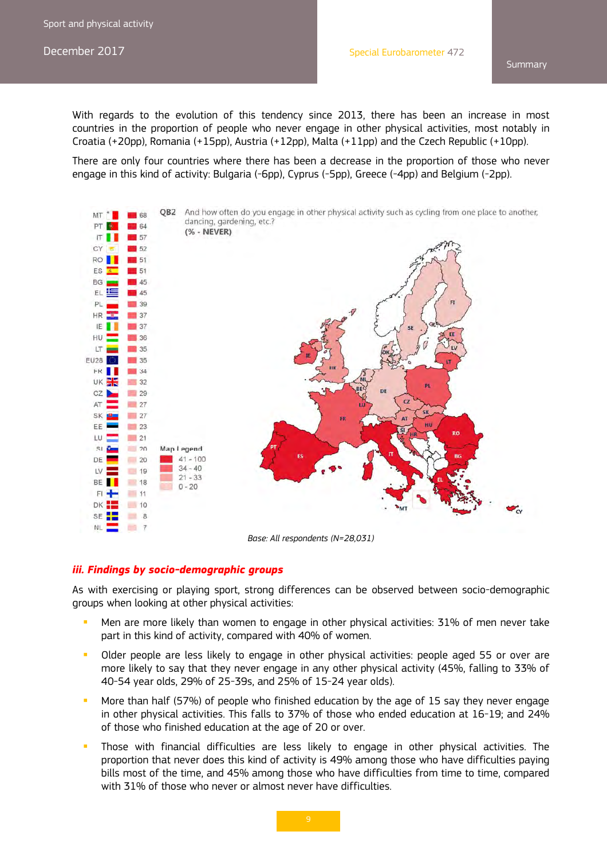With regards to the evolution of this tendency since 2013, there has been an increase in most countries in the proportion of people who never engage in other physical activities, most notably in Croatia (+20pp), Romania (+15pp), Austria (+12pp), Malta (+11pp) and the Czech Republic (+10pp).

There are only four countries where there has been a decrease in the proportion of those who never engage in this kind of activity: Bulgaria (-6pp), Cyprus (-5pp), Greece (-4pp) and Belgium (-2pp).



*Base: All respondents (N=28,031)* 

#### *iii. Findings by socio-demographic groups*

As with exercising or playing sport, strong differences can be observed between socio-demographic groups when looking at other physical activities:

- Men are more likely than women to engage in other physical activities: 31% of men never take part in this kind of activity, compared with 40% of women.
- Older people are less likely to engage in other physical activities: people aged 55 or over are more likely to say that they never engage in any other physical activity (45%, falling to 33% of 40-54 year olds, 29% of 25-39s, and 25% of 15-24 year olds).
- More than half (57%) of people who finished education by the age of 15 say they never engage in other physical activities. This falls to 37% of those who ended education at 16-19; and 24% of those who finished education at the age of 20 or over.
- Those with financial difficulties are less likely to engage in other physical activities. The proportion that never does this kind of activity is 49% among those who have difficulties paying bills most of the time, and 45% among those who have difficulties from time to time, compared with 31% of those who never or almost never have difficulties.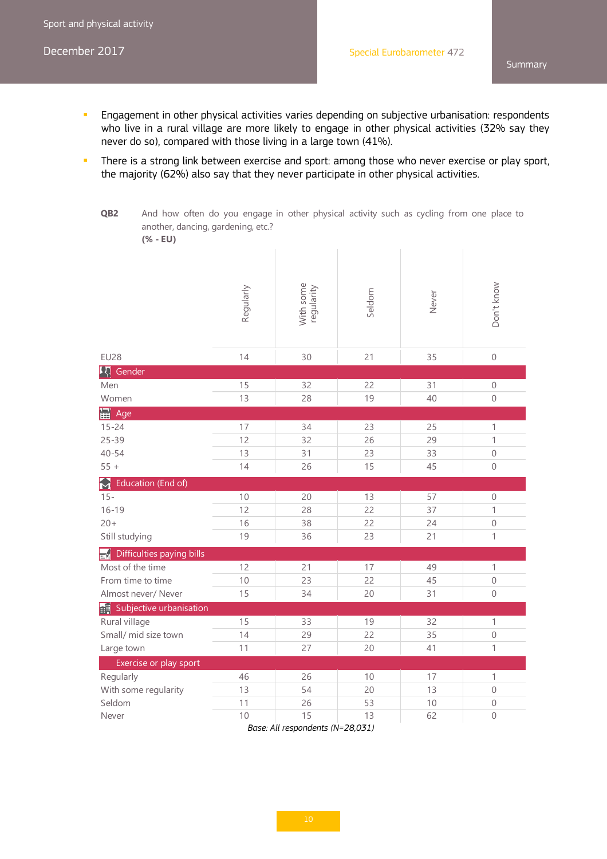- **Engagement in other physical activities varies depending on subjective urbanisation: respondents** who live in a rural village are more likely to engage in other physical activities (32% say they never do so), compared with those living in a large town (41%).
- There is a strong link between exercise and sport: among those who never exercise or play sport, the majority (62%) also say that they never participate in other physical activities.

**QB2** And how often do you engage in other physical activity such as cycling from one place to another, dancing, gardening, etc.? **(% - EU)**

| $\sqrt{2}$ $  \sqrt{2}$               |           |                         |        |       |                |
|---------------------------------------|-----------|-------------------------|--------|-------|----------------|
|                                       | Regularly | With some<br>regularity | Seldom | Never | Don't know     |
| <b>EU28</b>                           | 14        | 30                      | 21     | 35    | $\mathbf 0$    |
| <b>Id</b><br>Gender                   |           |                         |        |       |                |
| Men                                   | 15        | 32                      | 22     | 31    | 0              |
| Women                                 | 13        | 28                      | 19     | 40    | $\mathbf 0$    |
| <b>面</b> Age                          |           |                         |        |       |                |
| $15 - 24$                             | 17        | 34                      | 23     | 25    | $\mathbf{1}$   |
| $25 - 39$                             | 12        | 32                      | 26     | 29    | $\mathbf{1}$   |
| $40 - 54$                             | 13        | 31                      | 23     | 33    | $\mathbf 0$    |
| $55 +$                                | 14        | 26                      | 15     | 45    | $\overline{0}$ |
| Helucation (End of)                   |           |                         |        |       |                |
| $15 -$                                | 10        | 20                      | 13     | 57    | $\mathbf 0$    |
| $16 - 19$                             | 12        | 28                      | 22     | 37    | $\mathbf{1}$   |
| $20 +$                                | 16        | 38                      | 22     | 24    | $\overline{0}$ |
| Still studying                        | 19        | 36                      | 23     | 21    | 1              |
| Difficulties paying bills<br>$\equiv$ |           |                         |        |       |                |
| Most of the time                      | 12        | 21                      | 17     | 49    | $\mathbf{1}$   |
| From time to time                     | 10        | 23                      | 22     | 45    | $\mathbf 0$    |
| Almost never/ Never                   | 15        | 34                      | 20     | 31    | $\mathbf 0$    |
| Subjective urbanisation               |           |                         |        |       |                |
| Rural village                         | 15        | 33                      | 19     | 32    | 1              |
| Small/ mid size town                  | 14        | 29                      | 22     | 35    | $\mathbf 0$    |
| Large town                            | 11        | 27                      | 20     | 41    | $\mathbf{1}$   |
| Exercise or play sport                |           |                         |        |       |                |
| Regularly                             | 46        | 26                      | 10     | 17    | $\mathbf{1}$   |
| With some regularity                  | 13        | 54                      | 20     | 13    | $\mathbf 0$    |
| Seldom                                | 11        | 26                      | 53     | 10    | $\mathbf 0$    |
| Never                                 | 10        | 15                      | 13     | 62    | $\overline{0}$ |

*Base: All respondents (N=28,031)*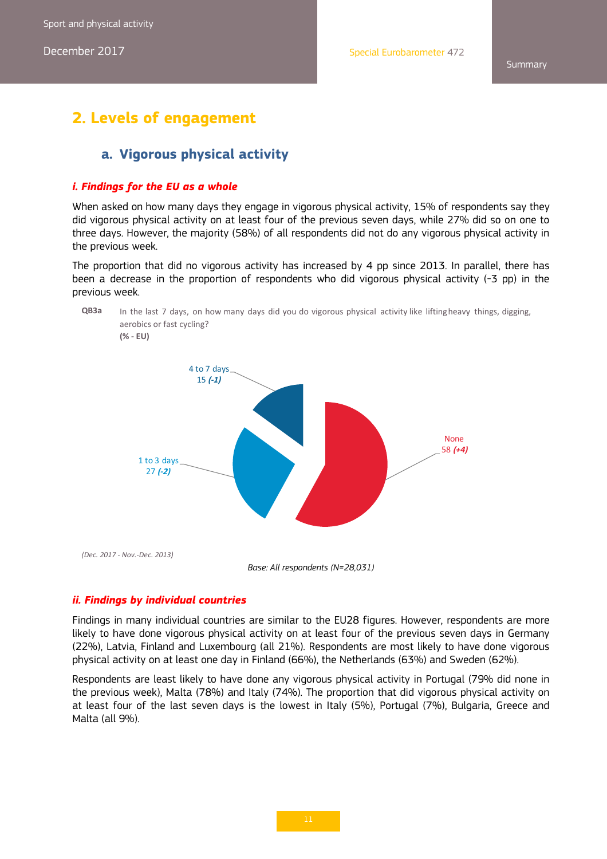# **2. Levels of engagement**

### **a. Vigorous physical activity**

#### *i. Findings for the EU as a whole*

When asked on how many days they engage in vigorous physical activity, 15% of respondents say they did vigorous physical activity on at least four of the previous seven days, while 27% did so on one to three days. However, the majority (58%) of all respondents did not do any vigorous physical activity in the previous week.

The proportion that did no vigorous activity has increased by 4 pp since 2013. In parallel, there has been a decrease in the proportion of respondents who did vigorous physical activity (-3 pp) in the previous week.



#### *ii. Findings by individual countries*

Findings in many individual countries are similar to the EU28 figures. However, respondents are more likely to have done vigorous physical activity on at least four of the previous seven days in Germany (22%), Latvia, Finland and Luxembourg (all 21%). Respondents are most likely to have done vigorous physical activity on at least one day in Finland (66%), the Netherlands (63%) and Sweden (62%).

Respondents are least likely to have done any vigorous physical activity in Portugal (79% did none in the previous week), Malta (78%) and Italy (74%). The proportion that did vigorous physical activity on at least four of the last seven days is the lowest in Italy (5%), Portugal (7%), Bulgaria, Greece and Malta (all 9%).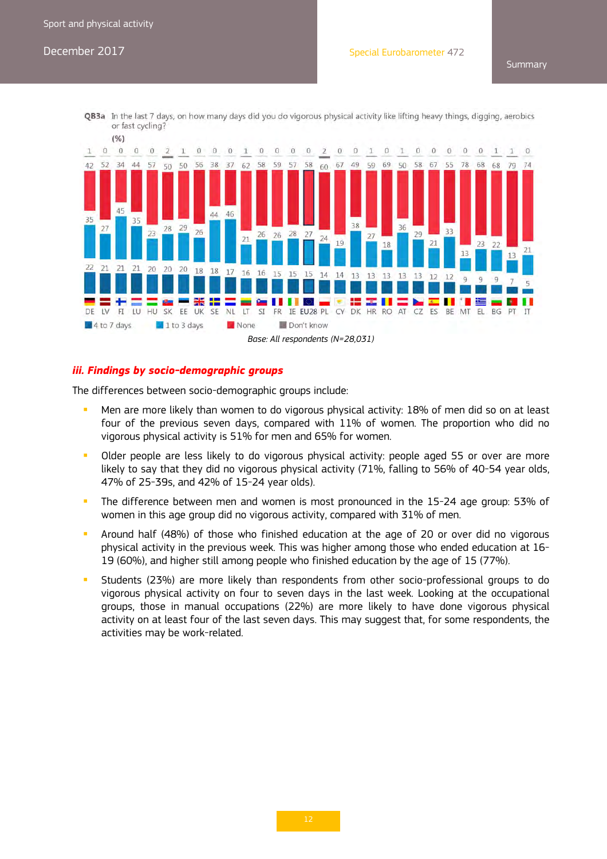**Summary** 

QB3a In the last 7 days, on how many days did you do vigorous physical activity like lifting heavy things, digging, aerobics or fast cycling?



#### *iii. Findings by socio-demographic groups*

The differences between socio-demographic groups include:

- **Men are more likely than women to do vigorous physical activity: 18% of men did so on at least** four of the previous seven days, compared with 11% of women. The proportion who did no vigorous physical activity is 51% for men and 65% for women.
- Older people are less likely to do vigorous physical activity: people aged 55 or over are more likely to say that they did no vigorous physical activity (71%, falling to 56% of 40-54 year olds, 47% of 25-39s, and 42% of 15-24 year olds).
- The difference between men and women is most pronounced in the 15-24 age group: 53% of women in this age group did no vigorous activity, compared with 31% of men.
- Around half (48%) of those who finished education at the age of 20 or over did no vigorous physical activity in the previous week. This was higher among those who ended education at 16- 19 (60%), and higher still among people who finished education by the age of 15 (77%).
- Students (23%) are more likely than respondents from other socio-professional groups to do vigorous physical activity on four to seven days in the last week. Looking at the occupational groups, those in manual occupations (22%) are more likely to have done vigorous physical activity on at least four of the last seven days. This may suggest that, for some respondents, the activities may be work-related.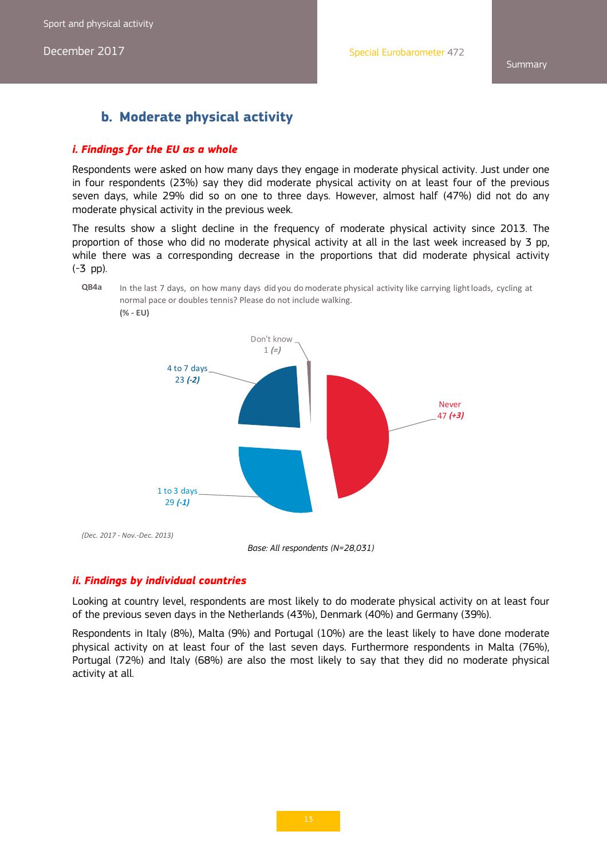Sport and physical activity

December 2017

**Summary** 

# **b. Moderate physical activity**

#### *i. Findings for the EU as a whole*

Respondents were asked on how many days they engage in moderate physical activity. Just under one in four respondents (23%) say they did moderate physical activity on at least four of the previous seven days, while 29% did so on one to three days. However, almost half (47%) did not do any moderate physical activity in the previous week.

The results show a slight decline in the frequency of moderate physical activity since 2013. The proportion of those who did no moderate physical activity at all in the last week increased by 3 pp, while there was a corresponding decrease in the proportions that did moderate physical activity (-3 pp).





*Base: All respondents (N=28,031)* 

#### *ii. Findings by individual countries*

Looking at country level, respondents are most likely to do moderate physical activity on at least four of the previous seven days in the Netherlands (43%), Denmark (40%) and Germany (39%).

Respondents in Italy (8%), Malta (9%) and Portugal (10%) are the least likely to have done moderate physical activity on at least four of the last seven days. Furthermore respondents in Malta (76%), Portugal (72%) and Italy (68%) are also the most likely to say that they did no moderate physical activity at all.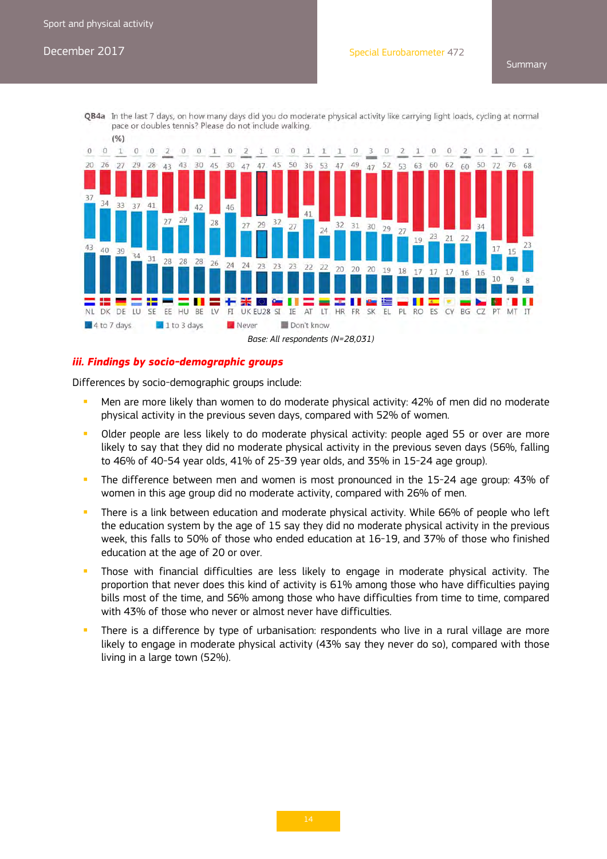**Summary** 





#### *iii. Findings by socio-demographic groups*

Differences by socio-demographic groups include:

- **Men are more likely than women to do moderate physical activity: 42% of men did no moderate** physical activity in the previous seven days, compared with 52% of women.
- Older people are less likely to do moderate physical activity: people aged 55 or over are more likely to say that they did no moderate physical activity in the previous seven days (56%, falling to 46% of 40-54 year olds, 41% of 25-39 year olds, and 35% in 15-24 age group).
- The difference between men and women is most pronounced in the 15-24 age group: 43% of women in this age group did no moderate activity, compared with 26% of men.
- There is a link between education and moderate physical activity. While 66% of people who left the education system by the age of 15 say they did no moderate physical activity in the previous week, this falls to 50% of those who ended education at 16-19, and 37% of those who finished education at the age of 20 or over.
- Those with financial difficulties are less likely to engage in moderate physical activity. The proportion that never does this kind of activity is 61% among those who have difficulties paying bills most of the time, and 56% among those who have difficulties from time to time, compared with 43% of those who never or almost never have difficulties.
- There is a difference by type of urbanisation: respondents who live in a rural village are more likely to engage in moderate physical activity (43% say they never do so), compared with those living in a large town (52%).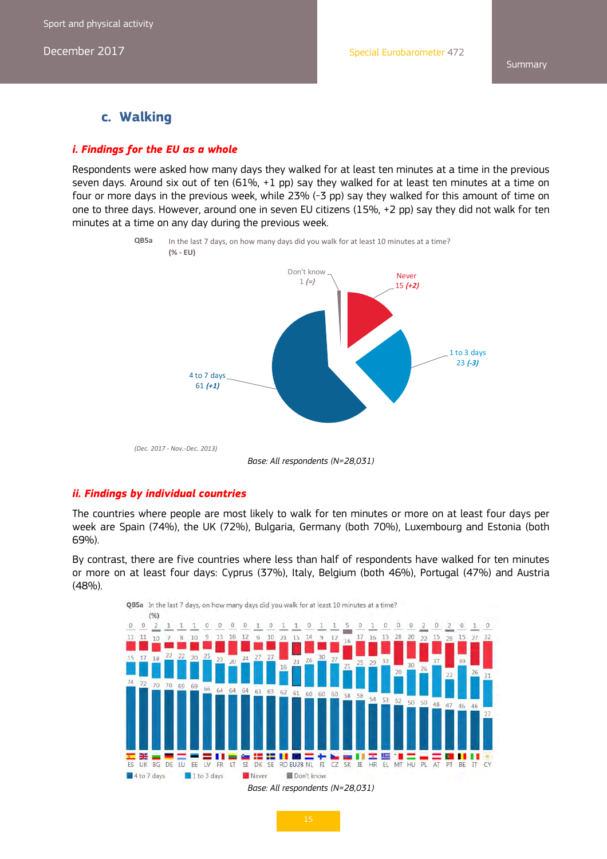### **c. Walking**

#### *i. Findings for the EU as a whole*

Respondents were asked how many days they walked for at least ten minutes at a time in the previous seven days. Around six out of ten (61%, +1 pp) say they walked for at least ten minutes at a time on four or more days in the previous week, while 23% (-3 pp) say they walked for this amount of time on one to three days. However, around one in seven EU citizens (15%, +2 pp) say they did not walk for ten minutes at a time on any day during the previous week.



#### *ii. Findings by individual countries*

The countries where people are most likely to walk for ten minutes or more on at least four days per week are Spain (74%), the UK (72%), Bulgaria, Germany (both 70%), Luxembourg and Estonia (both 69%).

By contrast, there are five countries where less than half of respondents have walked for ten minutes or more on at least four days: Cyprus (37%), Italy, Belgium (both 46%), Portugal (47%) and Austria (48%).

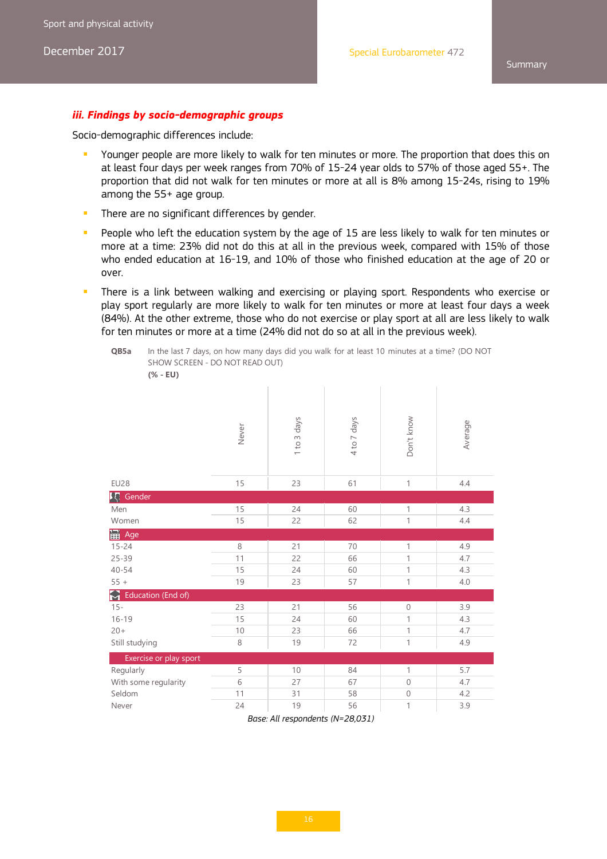#### *iii. Findings by socio-demographic groups*

Socio-demographic differences include:

- **P** Younger people are more likely to walk for ten minutes or more. The proportion that does this on at least four days per week ranges from 70% of 15-24 year olds to 57% of those aged 55+. The proportion that did not walk for ten minutes or more at all is 8% among 15-24s, rising to 19% among the 55+ age group.
- There are no significant differences by gender.
- People who left the education system by the age of 15 are less likely to walk for ten minutes or more at a time: 23% did not do this at all in the previous week, compared with 15% of those who ended education at 16-19, and 10% of those who finished education at the age of 20 or over.
- There is a link between walking and exercising or playing sport. Respondents who exercise or play sport regularly are more likely to walk for ten minutes or more at least four days a week (84%). At the other extreme, those who do not exercise or play sport at all are less likely to walk for ten minutes or more at a time (24% did not do so at all in the previous week).

**QB5a** In the last 7 days, on how many days did you walk for at least 10 minutes at a time? (DO NOT SHOW SCREEN - DO NOT READ OUT) **(% - EU)**

|                         | Never | 1 to 3 days | 4 to 7 days | Don't know   | Average |
|-------------------------|-------|-------------|-------------|--------------|---------|
| <b>EU28</b>             | 15    | 23          | 61          | 1            | 4.4     |
| 【 Gender                |       |             |             |              |         |
| Men                     | 15    | 24          | 60          | $\mathbf{1}$ | 4.3     |
| Women                   | 15    | 22          | 62          | 1            | 4.4     |
| B Age                   |       |             |             |              |         |
| $15 - 24$               | 8     | 21          | 70          | 1            | 4.9     |
| $25 - 39$               | 11    | 22          | 66          | $\mathbf{1}$ | 4.7     |
| $40 - 54$               | 15    | 24          | 60          | $\mathbf{1}$ | 4.3     |
| $55 +$                  | 19    | 23          | 57          | 1            | 4.0     |
| 8<br>Education (End of) |       |             |             |              |         |
| $15 -$                  | 23    | 21          | 56          | $\mathbf 0$  | 3.9     |
| $16 - 19$               | 15    | 24          | 60          | 1            | 4.3     |
| $20 +$                  | 10    | 23          | 66          | $\mathbf{1}$ | 4.7     |
| Still studying          | 8     | 19          | 72          | 1            | 4.9     |
| Exercise or play sport  |       |             |             |              |         |
| Regularly               | 5     | 10          | 84          | 1            | 5.7     |
| With some regularity    | 6     | 27          | 67          | $\mathbf{0}$ | 4.7     |
| Seldom                  | 11    | 31          | 58          | $\mathbf 0$  | 4.2     |
| Never                   | 24    | 19          | 56          | $\mathbf 1$  | 3.9     |

*Base: All respondents (N=28,031)*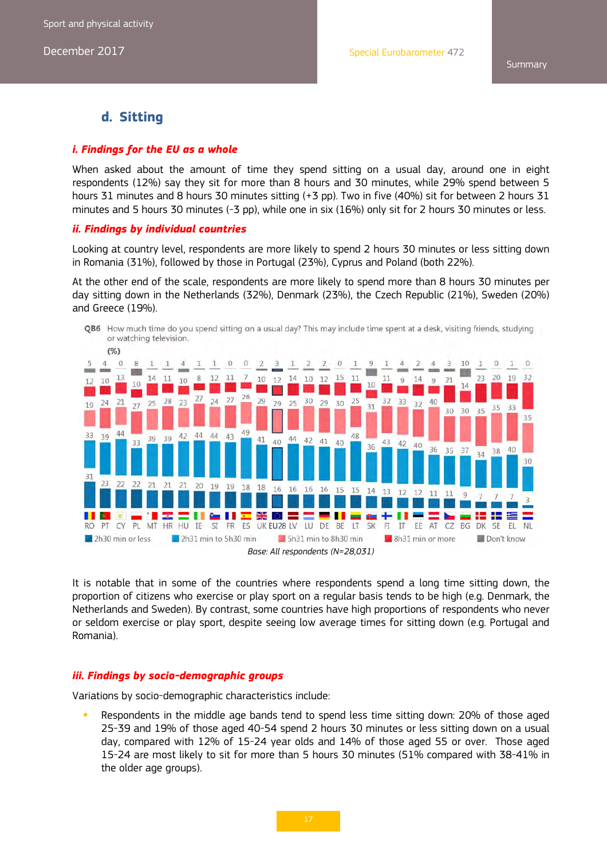### **d. Sitting**

#### *i. Findings for the EU as a whole*

When asked about the amount of time they spend sitting on a usual day, around one in eight respondents (12%) say they sit for more than 8 hours and 30 minutes, while 29% spend between 5 hours 31 minutes and 8 hours 30 minutes sitting (+3 pp). Two in five (40%) sit for between 2 hours 31 minutes and 5 hours 30 minutes (-3 pp), while one in six (16%) only sit for 2 hours 30 minutes or less.

#### *ii. Findings by individual countries*

Looking at country level, respondents are more likely to spend 2 hours 30 minutes or less sitting down in Romania (31%), followed by those in Portugal (23%), Cyprus and Poland (both 22%).

At the other end of the scale, respondents are more likely to spend more than 8 hours 30 minutes per day sitting down in the Netherlands (32%), Denmark (23%), the Czech Republic (21%), Sweden (20%) and Greece (19%).



It is notable that in some of the countries where respondents spend a long time sitting down, the proportion of citizens who exercise or play sport on a regular basis tends to be high (e.g. Denmark, the Netherlands and Sweden). By contrast, some countries have high proportions of respondents who never or seldom exercise or play sport, despite seeing low average times for sitting down (e.g. Portugal and Romania).

#### *iii. Findings by socio-demographic groups*

Variations by socio-demographic characteristics include:

 Respondents in the middle age bands tend to spend less time sitting down: 20% of those aged 25-39 and 19% of those aged 40-54 spend 2 hours 30 minutes or less sitting down on a usual day, compared with 12% of 15-24 year olds and 14% of those aged 55 or over. Those aged 15-24 are most likely to sit for more than 5 hours 30 minutes (51% compared with 38-41% in the older age groups).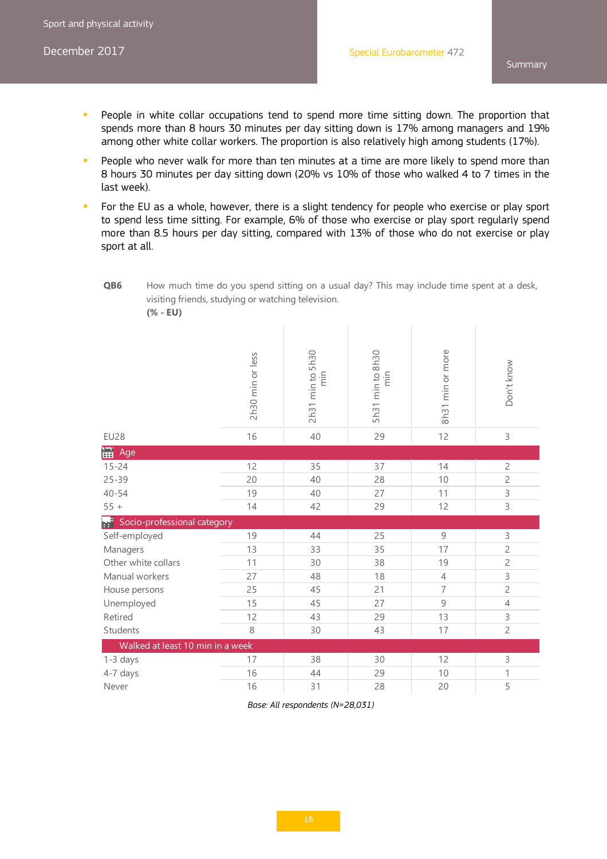- **People in white collar occupations tend to spend more time sitting down. The proportion that** spends more than 8 hours 30 minutes per day sitting down is 17% among managers and 19% among other white collar workers. The proportion is also relatively high among students (17%).
- People who never walk for more than ten minutes at a time are more likely to spend more than 8 hours 30 minutes per day sitting down (20% vs 10% of those who walked 4 to 7 times in the last week).
- For the EU as a whole, however, there is a slight tendency for people who exercise or play sport to spend less time sitting. For example, 6% of those who exercise or play sport regularly spend more than 8.5 hours per day sitting, compared with 13% of those who do not exercise or play sport at all.

**QB6** How much time do you spend sitting on a usual day? This may include time spent at a desk, visiting friends, studying or watching television.

|--|--|

|                                   | 2h30 min or less | 2h31 min to 5h30<br>ain | 5h31 min to 8h30<br>aim | 8h31 min or more | Don't know     |
|-----------------------------------|------------------|-------------------------|-------------------------|------------------|----------------|
| <b>EU28</b>                       | 16               | 40                      | 29                      | 12               | 3              |
| 冨<br>Age                          |                  |                         |                         |                  |                |
| $15 - 24$                         | 12               | 35                      | 37                      | 14               | $\overline{c}$ |
| $25 - 39$                         | 20               | 40                      | 28                      | 10               | $\overline{c}$ |
| $40 - 54$                         | 19               | 40                      | 27                      | 11               | 3              |
| $55 +$                            | 14               | 42                      | 29                      | 12               | 3              |
| ei<br>Socio-professional category |                  |                         |                         |                  |                |
| Self-employed                     | 19               | 44                      | 25                      | 9                | 3              |
| Managers                          | 13               | 33                      | 35                      | 17               | $\overline{c}$ |
| Other white collars               | 11               | 30                      | 38                      | 19               | $\overline{c}$ |
| Manual workers                    | 27               | 48                      | 18                      | 4                | 3              |
| House persons                     | 25               | 45                      | 21                      | $\overline{7}$   | $\overline{c}$ |
| Unemployed                        | 15               | 45                      | 27                      | 9                | $\overline{4}$ |
| Retired                           | 12               | 43                      | 29                      | 13               | 3              |
| Students                          | 8                | 30                      | 43                      | 17               | $\overline{c}$ |
| Walked at least 10 min in a week  |                  |                         |                         |                  |                |
| $1-3$ days                        | 17               | 38                      | 30                      | 12               | 3              |
| 4-7 days                          | 16               | 44                      | 29                      | 10               | $\mathbf{1}$   |
| Never                             | 16               | 31                      | 28                      | 20               | 5              |

*Base: All respondents (N=28,031)*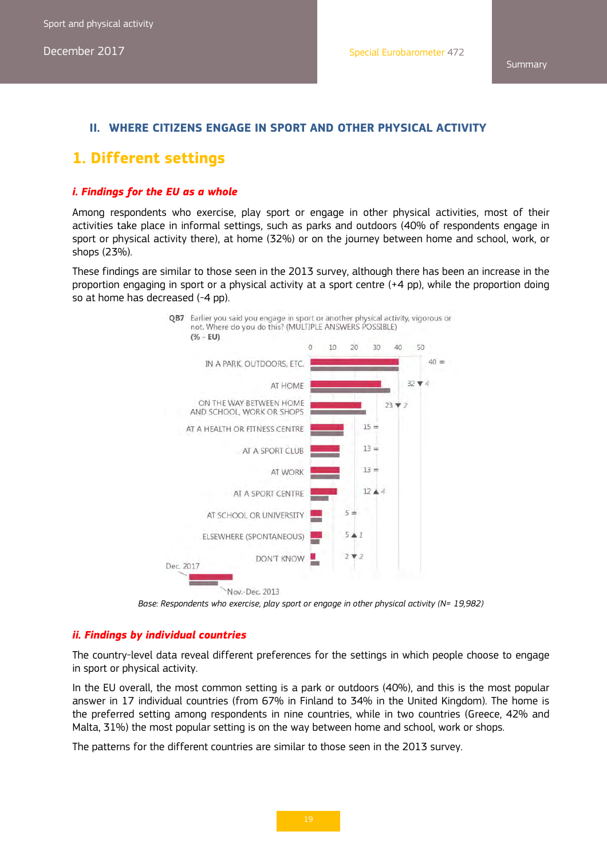### **II. WHERE CITIZENS ENGAGE IN SPORT AND OTHER PHYSICAL ACTIVITY**

# **1. Different settings**

#### *i. Findings for the EU as a whole*

Among respondents who exercise, play sport or engage in other physical activities, most of their activities take place in informal settings, such as parks and outdoors (40% of respondents engage in sport or physical activity there), at home (32%) or on the journey between home and school, work, or shops (23%).

These findings are similar to those seen in the 2013 survey, although there has been an increase in the proportion engaging in sport or a physical activity at a sport centre (+4 pp), while the proportion doing so at home has decreased (-4 pp).



Base: Respondents who exercise, play sport or engage in other physical activity (N= 19,982)

#### *ii. Findings by individual countries*

The country-level data reveal different preferences for the settings in which people choose to engage in sport or physical activity.

In the EU overall, the most common setting is a park or outdoors (40%), and this is the most popular answer in 17 individual countries (from 67% in Finland to 34% in the United Kingdom). The home is the preferred setting among respondents in nine countries, while in two countries (Greece, 42% and Malta, 31%) the most popular setting is on the way between home and school, work or shops.

The patterns for the different countries are similar to those seen in the 2013 survey.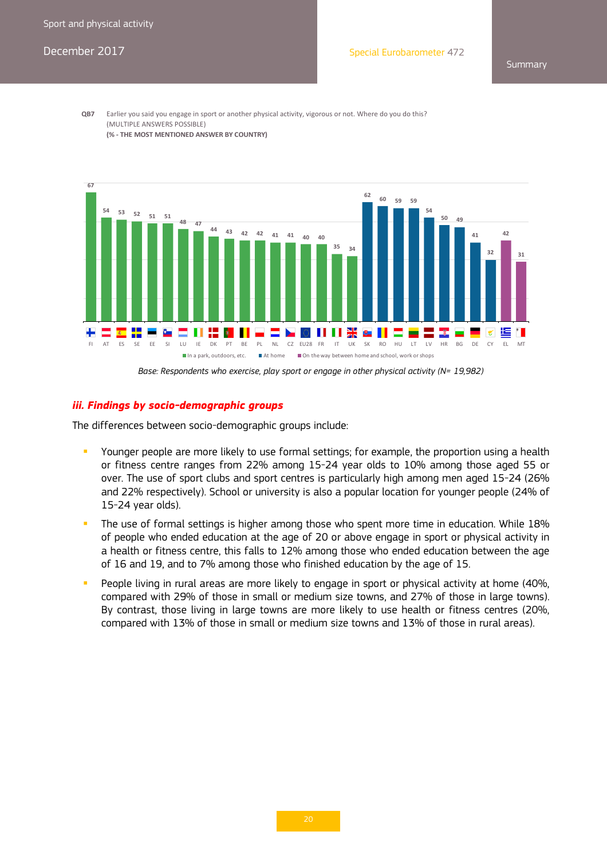**Summary** 

**QB7** Earlier you said you engage in sport or another physical activity, vigorous or not. Where do you do this? (MULTIPLE ANSWERS POSSIBLE) **(% ‐ THE MOST MENTIONED ANSWER BY COUNTRY)**



Base: Respondents who exercise, play sport or engage in other physical activity (N= 19,982)

#### *iii. Findings by socio-demographic groups*

The differences between socio-demographic groups include:

- Younger people are more likely to use formal settings; for example, the proportion using a health or fitness centre ranges from 22% among 15-24 year olds to 10% among those aged 55 or over. The use of sport clubs and sport centres is particularly high among men aged 15-24 (26% and 22% respectively). School or university is also a popular location for younger people (24% of 15-24 year olds).
- The use of formal settings is higher among those who spent more time in education. While 18% of people who ended education at the age of 20 or above engage in sport or physical activity in a health or fitness centre, this falls to 12% among those who ended education between the age of 16 and 19, and to 7% among those who finished education by the age of 15.
- People living in rural areas are more likely to engage in sport or physical activity at home (40%, compared with 29% of those in small or medium size towns, and 27% of those in large towns). By contrast, those living in large towns are more likely to use health or fitness centres (20%, compared with 13% of those in small or medium size towns and 13% of those in rural areas).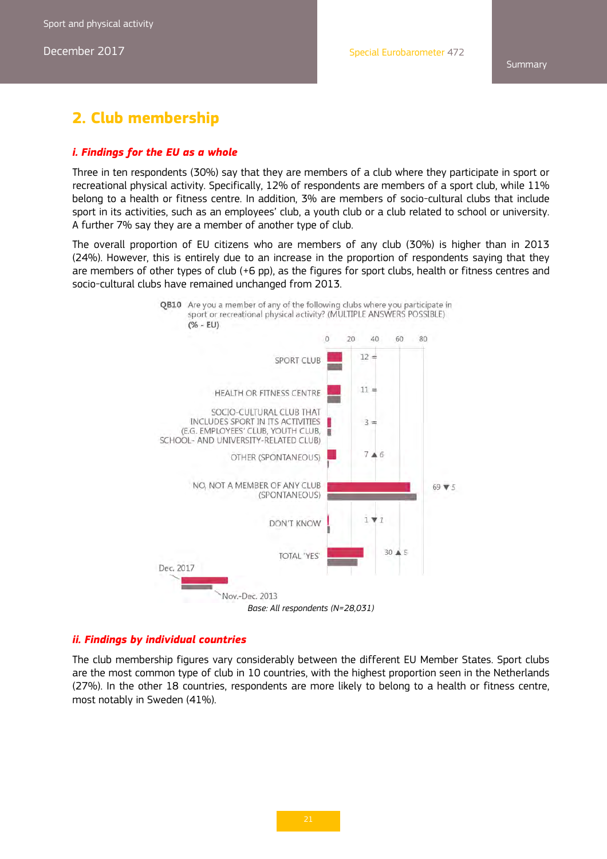# **2. Club membership**

#### *i. Findings for the EU as a whole*

Three in ten respondents (30%) say that they are members of a club where they participate in sport or recreational physical activity. Specifically, 12% of respondents are members of a sport club, while 11% belong to a health or fitness centre. In addition, 3% are members of socio-cultural clubs that include sport in its activities, such as an employees' club, a youth club or a club related to school or university. A further 7% say they are a member of another type of club.

The overall proportion of EU citizens who are members of any club (30%) is higher than in 2013 (24%). However, this is entirely due to an increase in the proportion of respondents saying that they are members of other types of club (+6 pp), as the figures for sport clubs, health or fitness centres and socio-cultural clubs have remained unchanged from 2013.





#### *ii. Findings by individual countries*

The club membership figures vary considerably between the different EU Member States. Sport clubs are the most common type of club in 10 countries, with the highest proportion seen in the Netherlands (27%). In the other 18 countries, respondents are more likely to belong to a health or fitness centre, most notably in Sweden (41%).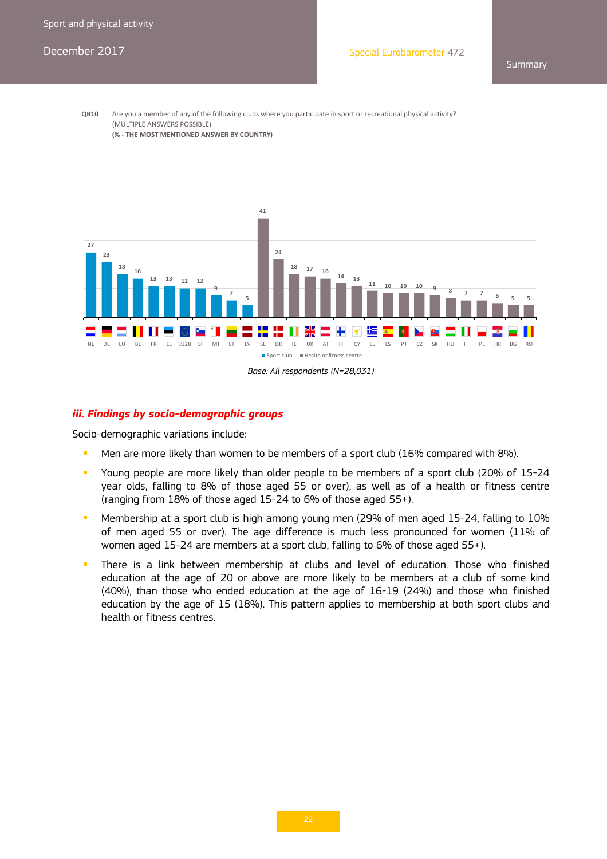**QB10** Are you a member of any of the following clubs where you participate in sport or recreational physical activity? (MULTIPLE ANSWERS POSSIBLE) **(% ‐ THE MOST MENTIONED ANSWER BY COUNTRY)**



#### *iii. Findings by socio-demographic groups*

Socio-demographic variations include:

- Men are more likely than women to be members of a sport club (16% compared with 8%).
- Young people are more likely than older people to be members of a sport club (20% of 15-24 year olds, falling to 8% of those aged 55 or over), as well as of a health or fitness centre (ranging from 18% of those aged 15-24 to 6% of those aged 55+).
- **Membership at a sport club is high among young men (29% of men aged 15-24, falling to 10%** of men aged 55 or over). The age difference is much less pronounced for women (11% of women aged 15-24 are members at a sport club, falling to 6% of those aged 55+).
- There is a link between membership at clubs and level of education. Those who finished education at the age of 20 or above are more likely to be members at a club of some kind (40%), than those who ended education at the age of 16-19 (24%) and those who finished education by the age of 15 (18%). This pattern applies to membership at both sport clubs and health or fitness centres.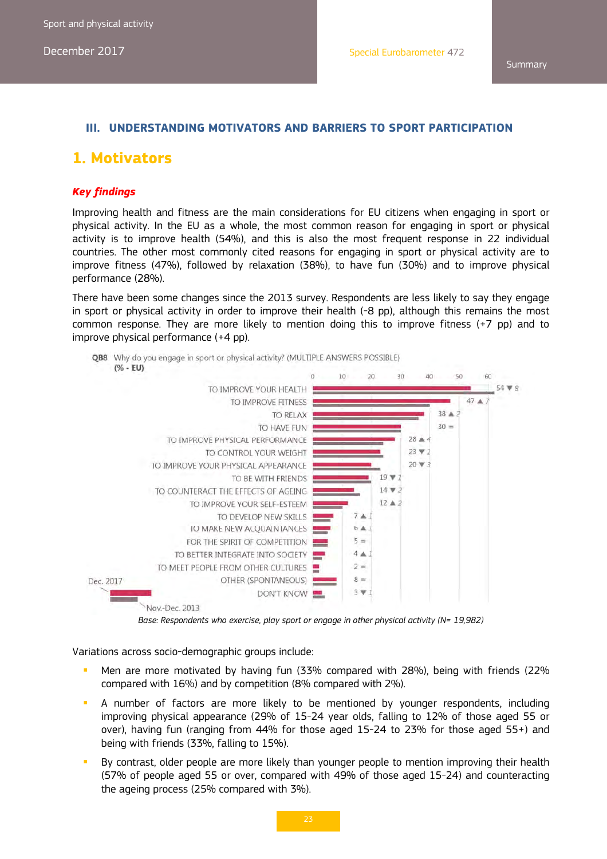#### **III. UNDERSTANDING MOTIVATORS AND BARRIERS TO SPORT PARTICIPATION**

### **1. Motivators**

#### *Key findings*

Improving health and fitness are the main considerations for EU citizens when engaging in sport or physical activity. In the EU as a whole, the most common reason for engaging in sport or physical activity is to improve health (54%), and this is also the most frequent response in 22 individual countries. The other most commonly cited reasons for engaging in sport or physical activity are to improve fitness (47%), followed by relaxation (38%), to have fun (30%) and to improve physical performance (28%).

There have been some changes since the 2013 survey. Respondents are less likely to say they engage in sport or physical activity in order to improve their health (-8 pp), although this remains the most common response. They are more likely to mention doing this to improve fitness (+7 pp) and to improve physical performance (+4 pp).



*Base: Respondents who exercise, play sport or engage in other physical activity (N= 19,982)* 

Variations across socio-demographic groups include:

- Men are more motivated by having fun (33% compared with 28%), being with friends (22% compared with 16%) and by competition (8% compared with 2%).
- A number of factors are more likely to be mentioned by younger respondents, including improving physical appearance (29% of 15-24 year olds, falling to 12% of those aged 55 or over), having fun (ranging from 44% for those aged 15-24 to 23% for those aged 55+) and being with friends (33%, falling to 15%).
- By contrast, older people are more likely than younger people to mention improving their health (57% of people aged 55 or over, compared with 49% of those aged 15-24) and counteracting the ageing process (25% compared with 3%).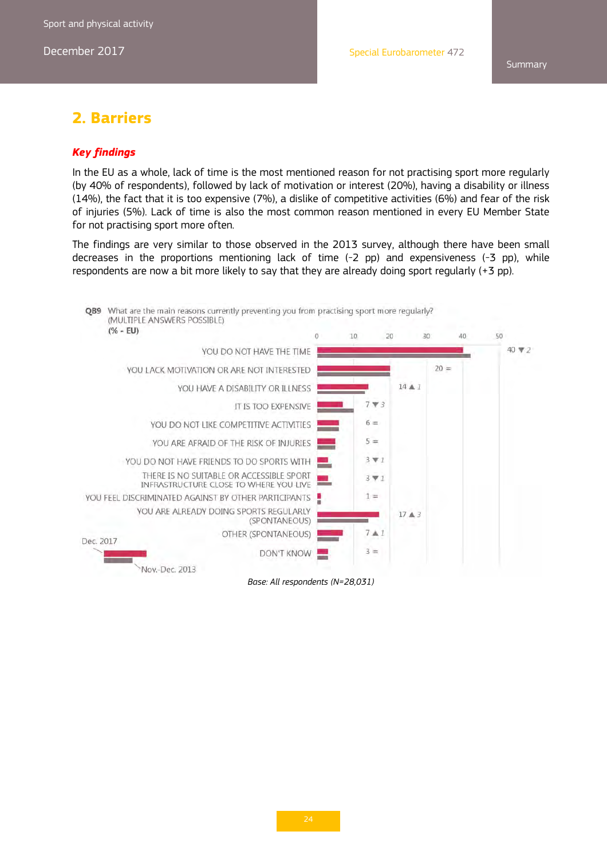# **2. Barriers**

#### *Key findings*

In the EU as a whole, lack of time is the most mentioned reason for not practising sport more regularly (by 40% of respondents), followed by lack of motivation or interest (20%), having a disability or illness (14%), the fact that it is too expensive (7%), a dislike of competitive activities (6%) and fear of the risk of injuries (5%). Lack of time is also the most common reason mentioned in every EU Member State for not practising sport more often.

The findings are very similar to those observed in the 2013 survey, although there have been small decreases in the proportions mentioning lack of time (-2 pp) and expensiveness (-3 pp), while respondents are now a bit more likely to say that they are already doing sport regularly (+3 pp).



*Base: All respondents (N=28,031)*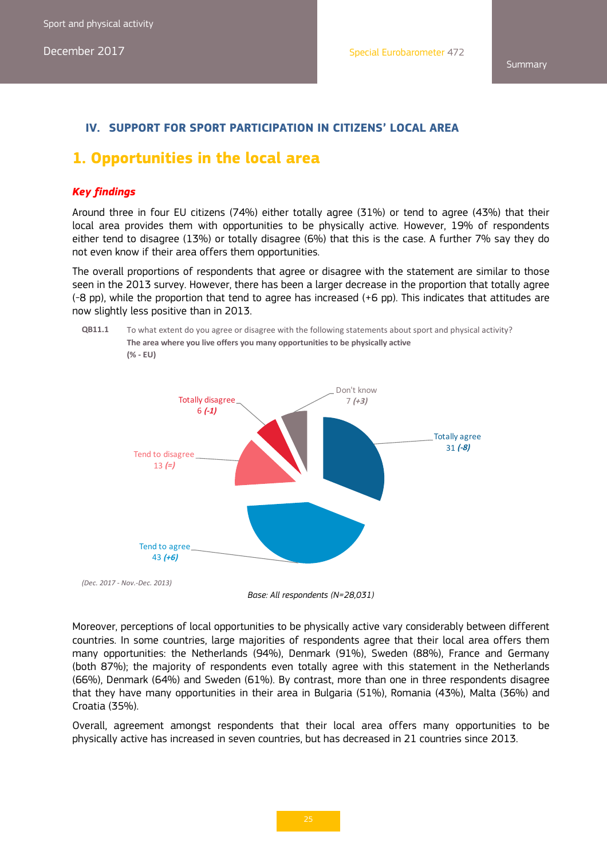### **IV. SUPPORT FOR SPORT PARTICIPATION IN CITIZENS' LOCAL AREA**

# **1. Opportunities in the local area**

#### *Key findings*

Around three in four EU citizens (74%) either totally agree (31%) or tend to agree (43%) that their local area provides them with opportunities to be physically active. However, 19% of respondents either tend to disagree (13%) or totally disagree (6%) that this is the case. A further 7% say they do not even know if their area offers them opportunities.

The overall proportions of respondents that agree or disagree with the statement are similar to those seen in the 2013 survey. However, there has been a larger decrease in the proportion that totally agree (-8 pp), while the proportion that tend to agree has increased (+6 pp). This indicates that attitudes are now slightly less positive than in 2013.







Moreover, perceptions of local opportunities to be physically active vary considerably between different countries. In some countries, large majorities of respondents agree that their local area offers them many opportunities: the Netherlands (94%), Denmark (91%), Sweden (88%), France and Germany (both 87%); the majority of respondents even totally agree with this statement in the Netherlands (66%), Denmark (64%) and Sweden (61%). By contrast, more than one in three respondents disagree that they have many opportunities in their area in Bulgaria (51%), Romania (43%), Malta (36%) and Croatia (35%).

Overall, agreement amongst respondents that their local area offers many opportunities to be physically active has increased in seven countries, but has decreased in 21 countries since 2013.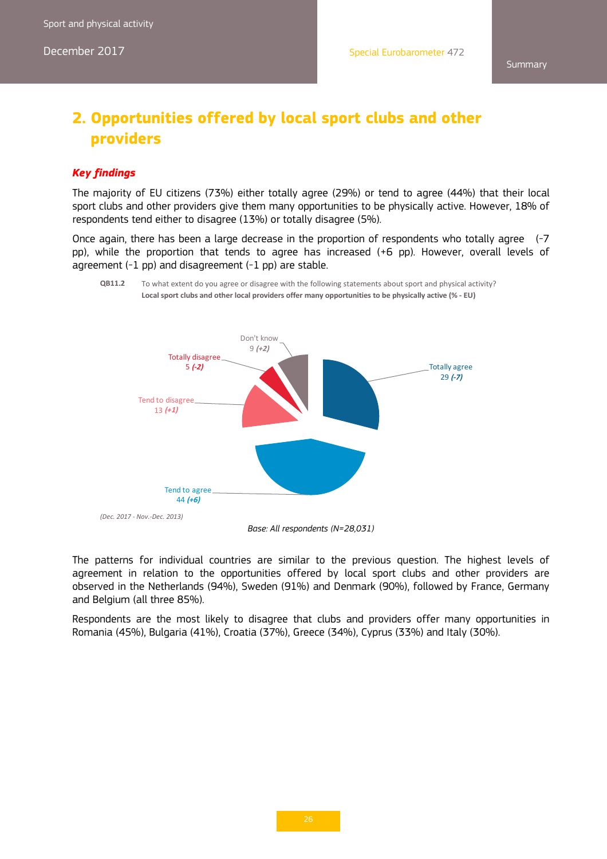# **2. Opportunities offered by local sport clubs and other providers**

#### *Key findings*

The majority of EU citizens (73%) either totally agree (29%) or tend to agree (44%) that their local sport clubs and other providers give them many opportunities to be physically active. However, 18% of respondents tend either to disagree (13%) or totally disagree (5%).

Once again, there has been a large decrease in the proportion of respondents who totally agree (-7 pp), while the proportion that tends to agree has increased (+6 pp). However, overall levels of agreement (-1 pp) and disagreement (-1 pp) are stable.



**QB11.2** To what extent do you agree or disagree with the following statements about sport and physical activity? **Local sport clubs and other local providers offer many opportunities to be physically active (% ‐ EU)**

*Base: All respondents (N=28,031)* 

The patterns for individual countries are similar to the previous question. The highest levels of agreement in relation to the opportunities offered by local sport clubs and other providers are observed in the Netherlands (94%), Sweden (91%) and Denmark (90%), followed by France, Germany and Belgium (all three 85%).

Respondents are the most likely to disagree that clubs and providers offer many opportunities in Romania (45%), Bulgaria (41%), Croatia (37%), Greece (34%), Cyprus (33%) and Italy (30%).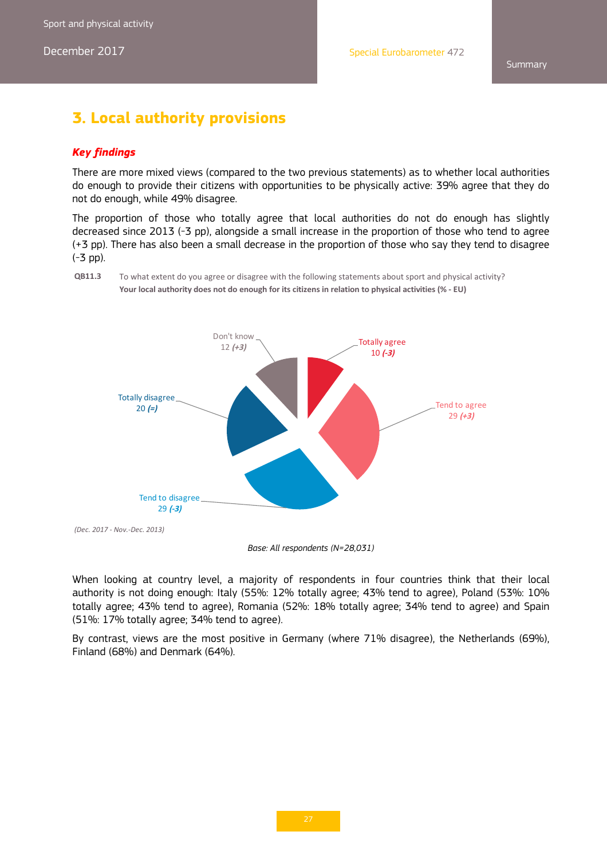**Summary** 

# **3. Local authority provisions**

#### *Key findings*

There are more mixed views (compared to the two previous statements) as to whether local authorities do enough to provide their citizens with opportunities to be physically active: 39% agree that they do not do enough, while 49% disagree.

The proportion of those who totally agree that local authorities do not do enough has slightly decreased since 2013 (-3 pp), alongside a small increase in the proportion of those who tend to agree (+3 pp). There has also been a small decrease in the proportion of those who say they tend to disagree (-3 pp).





*Base: All respondents (N=28,031)* 

When looking at country level, a majority of respondents in four countries think that their local authority is not doing enough: Italy (55%: 12% totally agree; 43% tend to agree), Poland (53%: 10% totally agree; 43% tend to agree), Romania (52%: 18% totally agree; 34% tend to agree) and Spain (51%: 17% totally agree; 34% tend to agree).

By contrast, views are the most positive in Germany (where 71% disagree), the Netherlands (69%), Finland (68%) and Denmark (64%).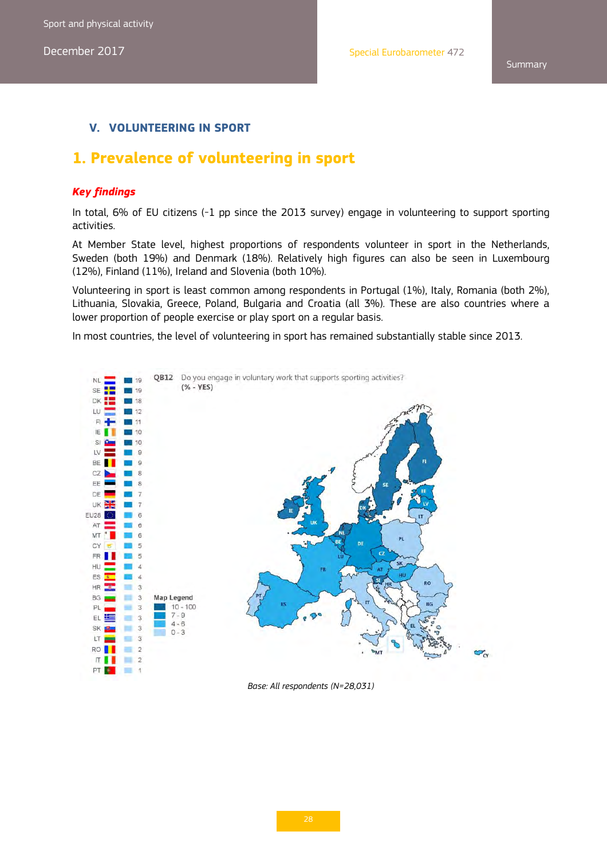### **V. VOLUNTEERING IN SPORT**

# **1. Prevalence of volunteering in sport**

#### *Key findings*

In total, 6% of EU citizens (-1 pp since the 2013 survey) engage in volunteering to support sporting activities.

At Member State level, highest proportions of respondents volunteer in sport in the Netherlands, Sweden (both 19%) and Denmark (18%). Relatively high figures can also be seen in Luxembourg (12%), Finland (11%), Ireland and Slovenia (both 10%).

Volunteering in sport is least common among respondents in Portugal (1%), Italy, Romania (both 2%), Lithuania, Slovakia, Greece, Poland, Bulgaria and Croatia (all 3%). These are also countries where a lower proportion of people exercise or play sport on a regular basis.

In most countries, the level of volunteering in sport has remained substantially stable since 2013.



*Base: All respondents (N=28,031)*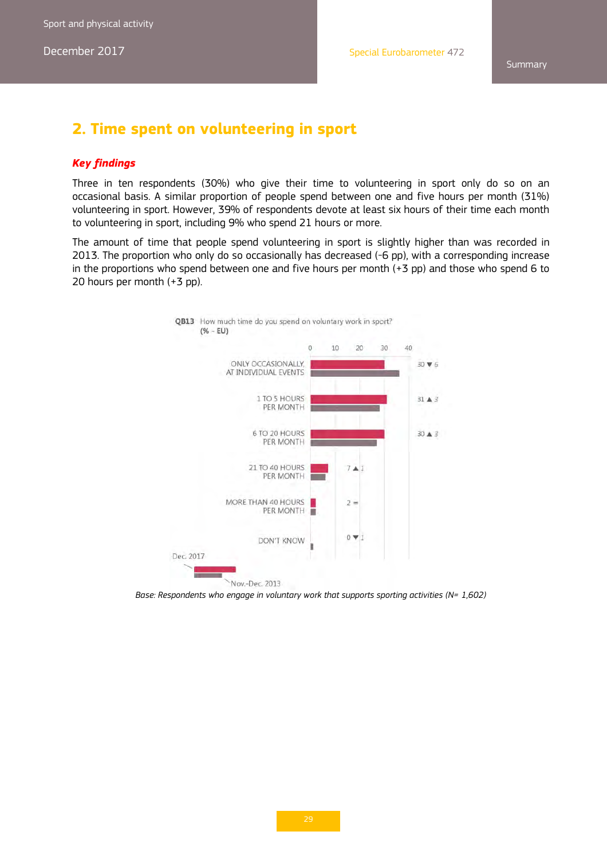# **2. Time spent on volunteering in sport**

#### *Key findings*

Three in ten respondents (30%) who give their time to volunteering in sport only do so on an occasional basis. A similar proportion of people spend between one and five hours per month (31%) volunteering in sport. However, 39% of respondents devote at least six hours of their time each month to volunteering in sport, including 9% who spend 21 hours or more.

The amount of time that people spend volunteering in sport is slightly higher than was recorded in 2013. The proportion who only do so occasionally has decreased (-6 pp), with a corresponding increase in the proportions who spend between one and five hours per month (+3 pp) and those who spend 6 to 20 hours per month (+3 pp).



Base: Respondents who engage in voluntary work that supports sporting activities (N= 1,602)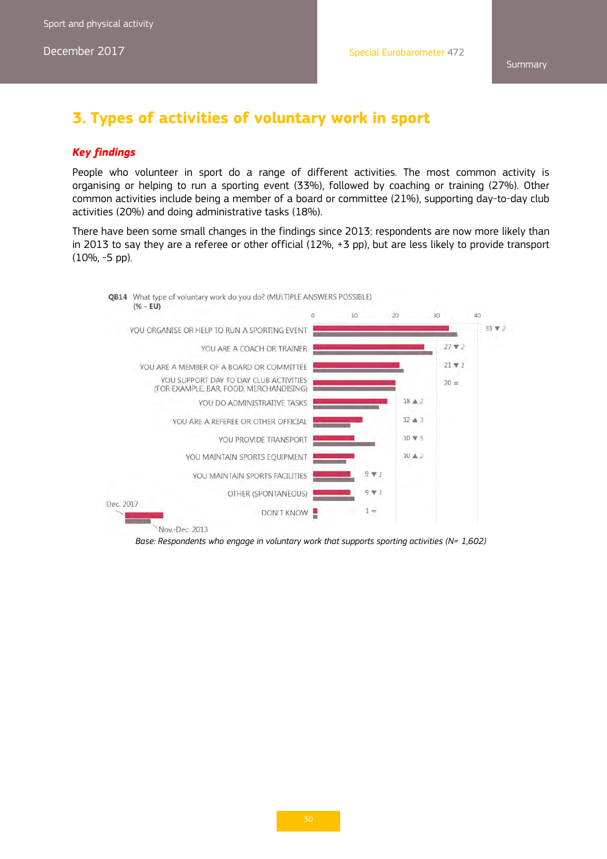# **3. Types of activities of voluntary work in sport**

#### *Key findings*

People who volunteer in sport do a range of different activities. The most common activity is organising or helping to run a sporting event (33%), followed by coaching or training (27%). Other common activities include being a member of a board or committee (21%), supporting day-to-day club activities (20%) and doing administrative tasks (18%).

There have been some small changes in the findings since 2013: respondents are now more likely than in 2013 to say they are a referee or other official (12%, +3 pp), but are less likely to provide transport (10%, -5 pp).



Base: Respondents who engage in voluntary work that supports sporting activities (N= 1,602)